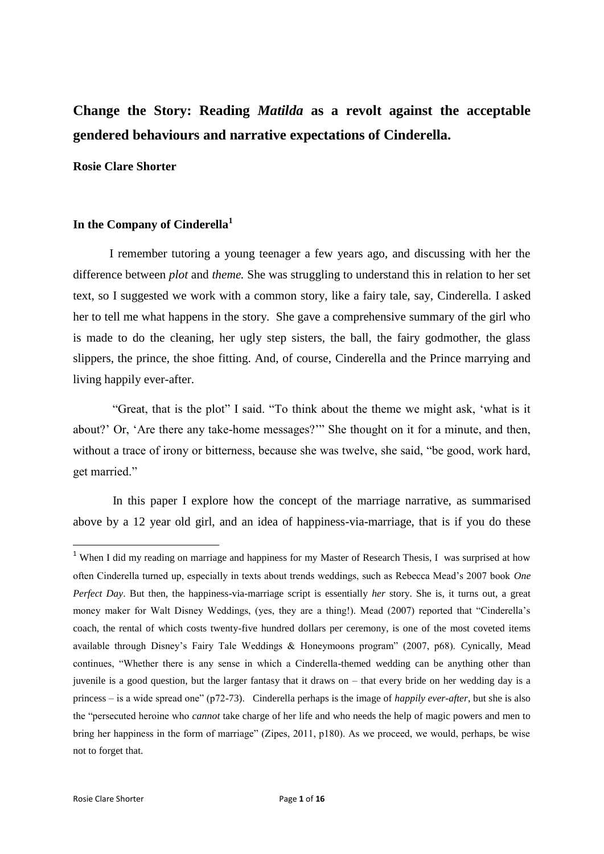# **Change the Story: Reading** *Matilda* **as a revolt against the acceptable gendered behaviours and narrative expectations of Cinderella.**

### **Rosie Clare Shorter**

## **In the Company of Cinderella<sup>1</sup>**

I remember tutoring a young teenager a few years ago, and discussing with her the difference between *plot* and *theme.* She was struggling to understand this in relation to her set text, so I suggested we work with a common story, like a fairy tale, say, Cinderella. I asked her to tell me what happens in the story. She gave a comprehensive summary of the girl who is made to do the cleaning, her ugly step sisters, the ball, the fairy godmother, the glass slippers, the prince, the shoe fitting. And, of course, Cinderella and the Prince marrying and living happily ever-after.

"Great, that is the plot" I said. "To think about the theme we might ask, 'what is it about?' Or, 'Are there any take-home messages?'" She thought on it for a minute, and then, without a trace of irony or bitterness, because she was twelve, she said, "be good, work hard, get married."

In this paper I explore how the concept of the marriage narrative, as summarised above by a 12 year old girl, and an idea of happiness-via-marriage, that is if you do these

1

<sup>&</sup>lt;sup>1</sup> When I did my reading on marriage and happiness for my Master of Research Thesis, I was surprised at how often Cinderella turned up, especially in texts about trends weddings, such as Rebecca Mead's 2007 book *One Perfect Day*. But then, the happiness-via-marriage script is essentially *her* story. She is, it turns out, a great money maker for Walt Disney Weddings, (yes, they are a thing!). Mead (2007) reported that "Cinderella's coach, the rental of which costs twenty-five hundred dollars per ceremony, is one of the most coveted items available through Disney's Fairy Tale Weddings & Honeymoons program" (2007, p68). Cynically, Mead continues, "Whether there is any sense in which a Cinderella-themed wedding can be anything other than juvenile is a good question, but the larger fantasy that it draws on – that every bride on her wedding day is a princess – is a wide spread one" (p72-73). Cinderella perhaps is the image of *happily ever-after*, but she is also the "persecuted heroine who *cannot* take charge of her life and who needs the help of magic powers and men to bring her happiness in the form of marriage" (Zipes, 2011, p180). As we proceed, we would, perhaps, be wise not to forget that.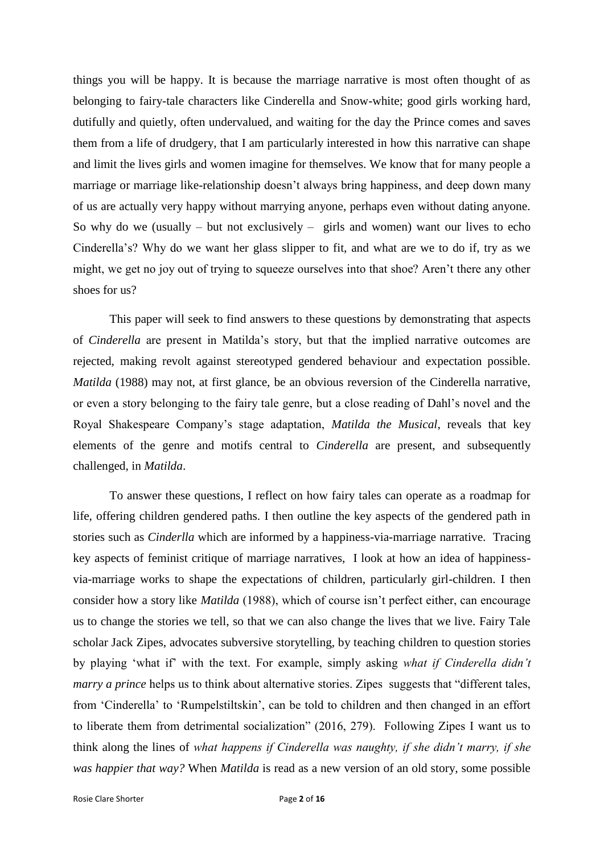things you will be happy. It is because the marriage narrative is most often thought of as belonging to fairy-tale characters like Cinderella and Snow-white; good girls working hard, dutifully and quietly, often undervalued, and waiting for the day the Prince comes and saves them from a life of drudgery, that I am particularly interested in how this narrative can shape and limit the lives girls and women imagine for themselves. We know that for many people a marriage or marriage like-relationship doesn't always bring happiness, and deep down many of us are actually very happy without marrying anyone, perhaps even without dating anyone. So why do we (usually  $-$  but not exclusively  $-$  girls and women) want our lives to echo Cinderella's? Why do we want her glass slipper to fit, and what are we to do if, try as we might, we get no joy out of trying to squeeze ourselves into that shoe? Aren't there any other shoes for us?

This paper will seek to find answers to these questions by demonstrating that aspects of *Cinderella* are present in Matilda's story, but that the implied narrative outcomes are rejected, making revolt against stereotyped gendered behaviour and expectation possible. *Matilda* (1988) may not, at first glance, be an obvious reversion of the Cinderella narrative, or even a story belonging to the fairy tale genre, but a close reading of Dahl's novel and the Royal Shakespeare Company's stage adaptation, *Matilda the Musical*, reveals that key elements of the genre and motifs central to *Cinderella* are present, and subsequently challenged, in *Matilda*.

To answer these questions, I reflect on how fairy tales can operate as a roadmap for life, offering children gendered paths. I then outline the key aspects of the gendered path in stories such as *Cinderlla* which are informed by a happiness-via-marriage narrative. Tracing key aspects of feminist critique of marriage narratives, I look at how an idea of happinessvia-marriage works to shape the expectations of children, particularly girl-children. I then consider how a story like *Matilda* (1988), which of course isn't perfect either, can encourage us to change the stories we tell, so that we can also change the lives that we live. Fairy Tale scholar Jack Zipes, advocates subversive storytelling, by teaching children to question stories by playing 'what if' with the text. For example, simply asking *what if Cinderella didn't marry a prince* helps us to think about alternative stories. Zipes suggests that "different tales, from 'Cinderella' to 'Rumpelstiltskin', can be told to children and then changed in an effort to liberate them from detrimental socialization" (2016, 279). Following Zipes I want us to think along the lines of *what happens if Cinderella was naughty, if she didn't marry, if she was happier that way?* When *Matilda* is read as a new version of an old story, some possible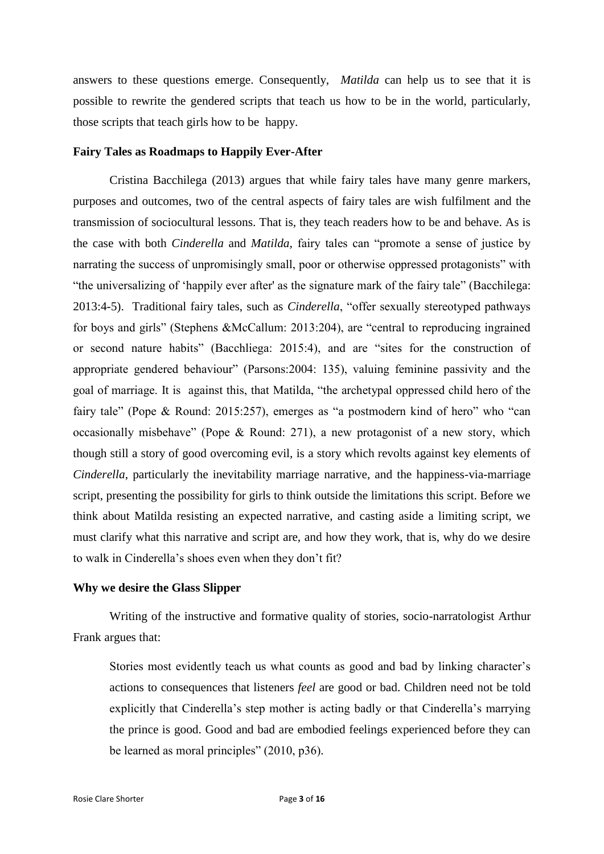answers to these questions emerge. Consequently, *Matilda* can help us to see that it is possible to rewrite the gendered scripts that teach us how to be in the world, particularly, those scripts that teach girls how to be happy.

#### **Fairy Tales as Roadmaps to Happily Ever-After**

Cristina Bacchilega (2013) argues that while fairy tales have many genre markers, purposes and outcomes, two of the central aspects of fairy tales are wish fulfilment and the transmission of sociocultural lessons. That is, they teach readers how to be and behave. As is the case with both *Cinderella* and *Matilda,* fairy tales can "promote a sense of justice by narrating the success of unpromisingly small, poor or otherwise oppressed protagonists" with "the universalizing of 'happily ever after' as the signature mark of the fairy tale" (Bacchilega: 2013:4-5). Traditional fairy tales, such as *Cinderella*, "offer sexually stereotyped pathways for boys and girls" (Stephens &McCallum: 2013:204), are "central to reproducing ingrained or second nature habits" (Bacchliega: 2015:4), and are "sites for the construction of appropriate gendered behaviour" (Parsons:2004: 135), valuing feminine passivity and the goal of marriage. It is against this, that Matilda, "the archetypal oppressed child hero of the fairy tale" (Pope & Round: 2015:257), emerges as "a postmodern kind of hero" who "can occasionally misbehave" (Pope & Round: 271), a new protagonist of a new story, which though still a story of good overcoming evil, is a story which revolts against key elements of *Cinderella*, particularly the inevitability marriage narrative, and the happiness-via-marriage script, presenting the possibility for girls to think outside the limitations this script. Before we think about Matilda resisting an expected narrative, and casting aside a limiting script, we must clarify what this narrative and script are, and how they work, that is, why do we desire to walk in Cinderella's shoes even when they don't fit?

### **Why we desire the Glass Slipper**

Writing of the instructive and formative quality of stories, socio-narratologist Arthur Frank argues that:

Stories most evidently teach us what counts as good and bad by linking character's actions to consequences that listeners *feel* are good or bad. Children need not be told explicitly that Cinderella's step mother is acting badly or that Cinderella's marrying the prince is good. Good and bad are embodied feelings experienced before they can be learned as moral principles" (2010, p36).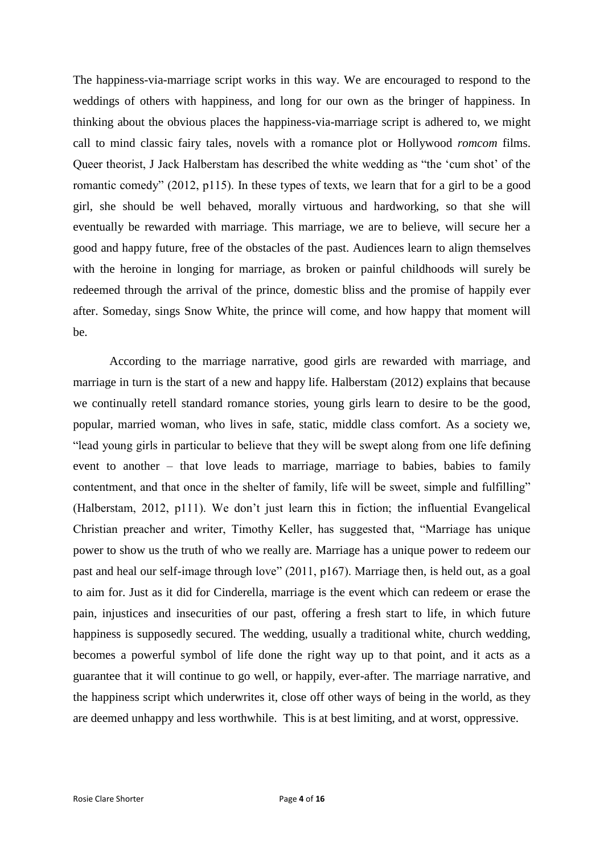The happiness-via-marriage script works in this way. We are encouraged to respond to the weddings of others with happiness, and long for our own as the bringer of happiness. In thinking about the obvious places the happiness-via-marriage script is adhered to, we might call to mind classic fairy tales*,* novels with a romance plot or Hollywood *romcom* films. Queer theorist, J Jack Halberstam has described the white wedding as "the 'cum shot' of the romantic comedy" (2012, p115). In these types of texts, we learn that for a girl to be a good girl, she should be well behaved, morally virtuous and hardworking, so that she will eventually be rewarded with marriage. This marriage, we are to believe, will secure her a good and happy future, free of the obstacles of the past. Audiences learn to align themselves with the heroine in longing for marriage, as broken or painful childhoods will surely be redeemed through the arrival of the prince, domestic bliss and the promise of happily ever after. Someday, sings Snow White, the prince will come, and how happy that moment will be.

According to the marriage narrative, good girls are rewarded with marriage, and marriage in turn is the start of a new and happy life. Halberstam (2012) explains that because we continually retell standard romance stories, young girls learn to desire to be the good, popular, married woman, who lives in safe, static, middle class comfort. As a society we, "lead young girls in particular to believe that they will be swept along from one life defining event to another – that love leads to marriage, marriage to babies, babies to family contentment, and that once in the shelter of family, life will be sweet, simple and fulfilling" (Halberstam, 2012, p111). We don't just learn this in fiction; the influential Evangelical Christian preacher and writer, Timothy Keller, has suggested that, "Marriage has unique power to show us the truth of who we really are. Marriage has a unique power to redeem our past and heal our self-image through love" (2011, p167). Marriage then, is held out, as a goal to aim for. Just as it did for Cinderella, marriage is the event which can redeem or erase the pain, injustices and insecurities of our past, offering a fresh start to life, in which future happiness is supposedly secured. The wedding, usually a traditional white, church wedding, becomes a powerful symbol of life done the right way up to that point, and it acts as a guarantee that it will continue to go well, or happily, ever-after. The marriage narrative, and the happiness script which underwrites it, close off other ways of being in the world, as they are deemed unhappy and less worthwhile. This is at best limiting, and at worst, oppressive.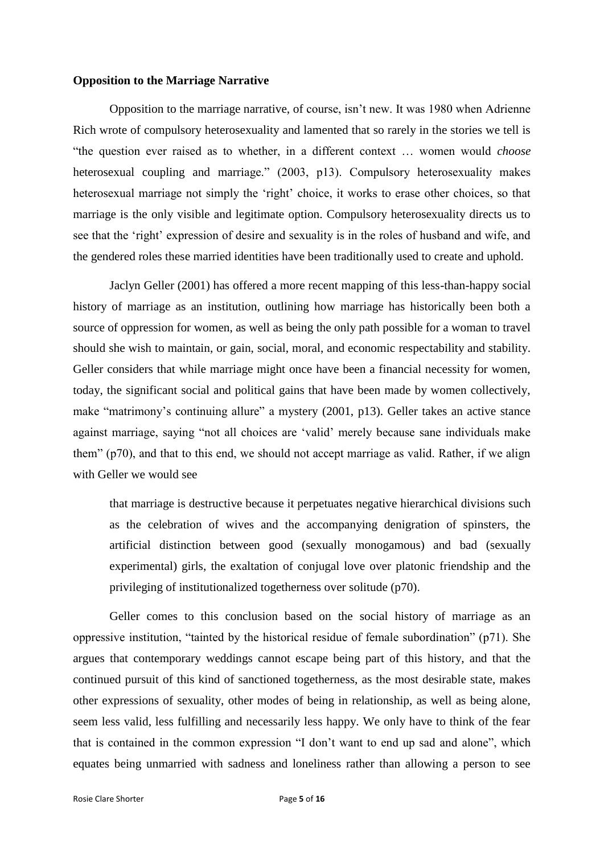### **Opposition to the Marriage Narrative**

Opposition to the marriage narrative, of course, isn't new. It was 1980 when Adrienne Rich wrote of compulsory heterosexuality and lamented that so rarely in the stories we tell is "the question ever raised as to whether, in a different context … women would *choose* heterosexual coupling and marriage." (2003, p13). Compulsory heterosexuality makes heterosexual marriage not simply the 'right' choice, it works to erase other choices, so that marriage is the only visible and legitimate option. Compulsory heterosexuality directs us to see that the 'right' expression of desire and sexuality is in the roles of husband and wife, and the gendered roles these married identities have been traditionally used to create and uphold.

Jaclyn Geller (2001) has offered a more recent mapping of this less-than-happy social history of marriage as an institution, outlining how marriage has historically been both a source of oppression for women, as well as being the only path possible for a woman to travel should she wish to maintain, or gain, social, moral, and economic respectability and stability. Geller considers that while marriage might once have been a financial necessity for women, today, the significant social and political gains that have been made by women collectively, make "matrimony's continuing allure" a mystery (2001, p13). Geller takes an active stance against marriage, saying "not all choices are 'valid' merely because sane individuals make them" (p70), and that to this end, we should not accept marriage as valid. Rather, if we align with Geller we would see

that marriage is destructive because it perpetuates negative hierarchical divisions such as the celebration of wives and the accompanying denigration of spinsters, the artificial distinction between good (sexually monogamous) and bad (sexually experimental) girls, the exaltation of conjugal love over platonic friendship and the privileging of institutionalized togetherness over solitude (p70).

Geller comes to this conclusion based on the social history of marriage as an oppressive institution, "tainted by the historical residue of female subordination" (p71). She argues that contemporary weddings cannot escape being part of this history, and that the continued pursuit of this kind of sanctioned togetherness, as the most desirable state, makes other expressions of sexuality, other modes of being in relationship, as well as being alone, seem less valid, less fulfilling and necessarily less happy. We only have to think of the fear that is contained in the common expression "I don't want to end up sad and alone", which equates being unmarried with sadness and loneliness rather than allowing a person to see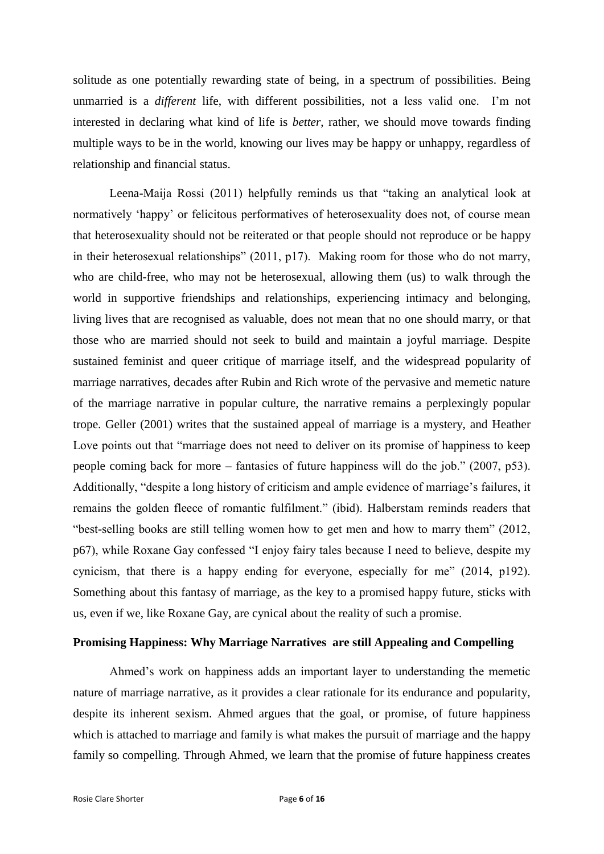solitude as one potentially rewarding state of being, in a spectrum of possibilities. Being unmarried is a *different* life, with different possibilities, not a less valid one. I'm not interested in declaring what kind of life is *better*, rather, we should move towards finding multiple ways to be in the world, knowing our lives may be happy or unhappy, regardless of relationship and financial status.

Leena-Maija Rossi (2011) helpfully reminds us that "taking an analytical look at normatively 'happy' or felicitous performatives of heterosexuality does not, of course mean that heterosexuality should not be reiterated or that people should not reproduce or be happy in their heterosexual relationships" (2011, p17). Making room for those who do not marry, who are child-free, who may not be heterosexual, allowing them (us) to walk through the world in supportive friendships and relationships, experiencing intimacy and belonging, living lives that are recognised as valuable, does not mean that no one should marry, or that those who are married should not seek to build and maintain a joyful marriage. Despite sustained feminist and queer critique of marriage itself, and the widespread popularity of marriage narratives, decades after Rubin and Rich wrote of the pervasive and memetic nature of the marriage narrative in popular culture, the narrative remains a perplexingly popular trope. Geller (2001) writes that the sustained appeal of marriage is a mystery, and Heather Love points out that "marriage does not need to deliver on its promise of happiness to keep people coming back for more – fantasies of future happiness will do the job." (2007, p53). Additionally, "despite a long history of criticism and ample evidence of marriage's failures, it remains the golden fleece of romantic fulfilment." (ibid). Halberstam reminds readers that "best-selling books are still telling women how to get men and how to marry them" (2012, p67), while Roxane Gay confessed "I enjoy fairy tales because I need to believe, despite my cynicism, that there is a happy ending for everyone, especially for me" (2014, p192). Something about this fantasy of marriage, as the key to a promised happy future, sticks with us, even if we, like Roxane Gay, are cynical about the reality of such a promise.

#### **Promising Happiness: Why Marriage Narratives are still Appealing and Compelling**

Ahmed's work on happiness adds an important layer to understanding the memetic nature of marriage narrative, as it provides a clear rationale for its endurance and popularity, despite its inherent sexism. Ahmed argues that the goal, or promise, of future happiness which is attached to marriage and family is what makes the pursuit of marriage and the happy family so compelling. Through Ahmed, we learn that the promise of future happiness creates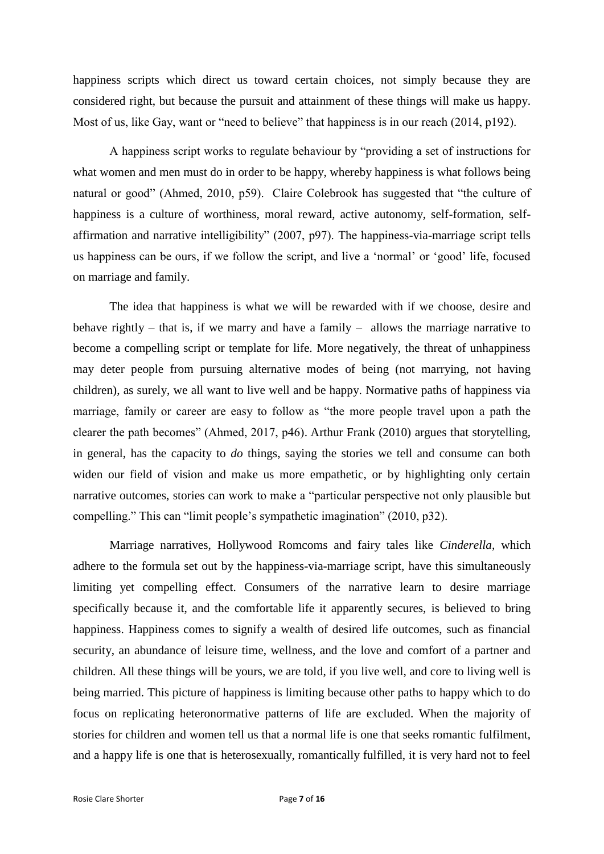happiness scripts which direct us toward certain choices, not simply because they are considered right, but because the pursuit and attainment of these things will make us happy. Most of us, like Gay, want or "need to believe" that happiness is in our reach (2014, p192).

A happiness script works to regulate behaviour by "providing a set of instructions for what women and men must do in order to be happy, whereby happiness is what follows being natural or good" (Ahmed, 2010, p59). Claire Colebrook has suggested that "the culture of happiness is a culture of worthiness, moral reward, active autonomy, self-formation, selfaffirmation and narrative intelligibility" (2007, p97). The happiness-via-marriage script tells us happiness can be ours, if we follow the script, and live a 'normal' or 'good' life, focused on marriage and family.

The idea that happiness is what we will be rewarded with if we choose, desire and behave rightly – that is, if we marry and have a family – allows the marriage narrative to become a compelling script or template for life. More negatively, the threat of unhappiness may deter people from pursuing alternative modes of being (not marrying, not having children), as surely, we all want to live well and be happy. Normative paths of happiness via marriage, family or career are easy to follow as "the more people travel upon a path the clearer the path becomes" (Ahmed, 2017, p46). Arthur Frank (2010) argues that storytelling, in general, has the capacity to *do* things, saying the stories we tell and consume can both widen our field of vision and make us more empathetic, or by highlighting only certain narrative outcomes, stories can work to make a "particular perspective not only plausible but compelling." This can "limit people's sympathetic imagination" (2010, p32).

Marriage narratives, Hollywood Romcoms and fairy tales like *Cinderella,* which adhere to the formula set out by the happiness-via-marriage script, have this simultaneously limiting yet compelling effect. Consumers of the narrative learn to desire marriage specifically because it, and the comfortable life it apparently secures, is believed to bring happiness. Happiness comes to signify a wealth of desired life outcomes, such as financial security, an abundance of leisure time, wellness, and the love and comfort of a partner and children. All these things will be yours, we are told, if you live well, and core to living well is being married. This picture of happiness is limiting because other paths to happy which to do focus on replicating heteronormative patterns of life are excluded. When the majority of stories for children and women tell us that a normal life is one that seeks romantic fulfilment, and a happy life is one that is heterosexually, romantically fulfilled, it is very hard not to feel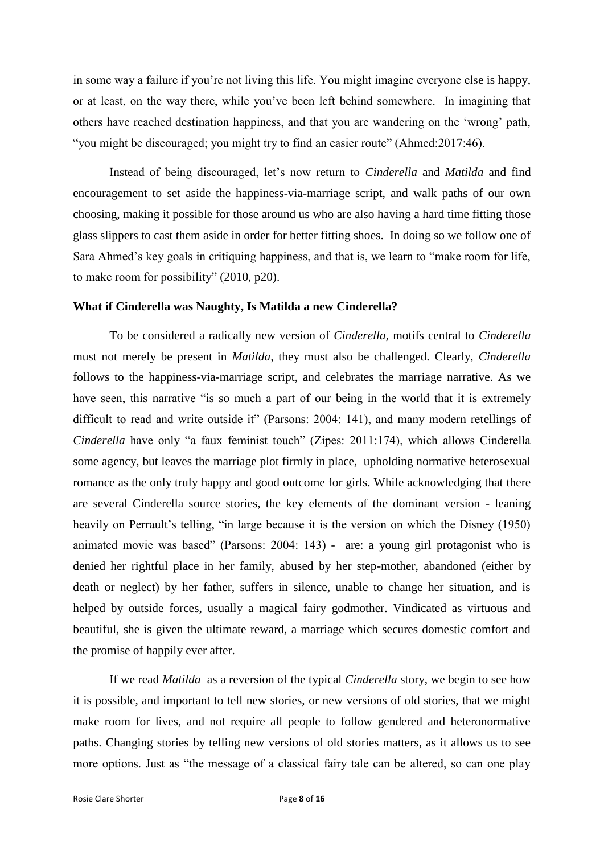in some way a failure if you're not living this life. You might imagine everyone else is happy, or at least, on the way there, while you've been left behind somewhere. In imagining that others have reached destination happiness, and that you are wandering on the 'wrong' path, "you might be discouraged; you might try to find an easier route" (Ahmed:2017:46).

Instead of being discouraged, let's now return to *Cinderella* and *Matilda* and find encouragement to set aside the happiness-via-marriage script, and walk paths of our own choosing, making it possible for those around us who are also having a hard time fitting those glass slippers to cast them aside in order for better fitting shoes. In doing so we follow one of Sara Ahmed's key goals in critiquing happiness, and that is, we learn to "make room for life, to make room for possibility" (2010, p20).

### **What if Cinderella was Naughty, Is Matilda a new Cinderella?**

To be considered a radically new version of *Cinderella,* motifs central to *Cinderella*  must not merely be present in *Matilda,* they must also be challenged. Clearly, *Cinderella*  follows to the happiness-via-marriage script, and celebrates the marriage narrative. As we have seen, this narrative "is so much a part of our being in the world that it is extremely difficult to read and write outside it" (Parsons: 2004: 141), and many modern retellings of *Cinderella* have only "a faux feminist touch" (Zipes: 2011:174), which allows Cinderella some agency, but leaves the marriage plot firmly in place, upholding normative heterosexual romance as the only truly happy and good outcome for girls. While acknowledging that there are several Cinderella source stories, the key elements of the dominant version - leaning heavily on Perrault's telling, "in large because it is the version on which the Disney (1950) animated movie was based" (Parsons: 2004: 143) - are: a young girl protagonist who is denied her rightful place in her family, abused by her step-mother, abandoned (either by death or neglect) by her father, suffers in silence, unable to change her situation, and is helped by outside forces, usually a magical fairy godmother. Vindicated as virtuous and beautiful, she is given the ultimate reward, a marriage which secures domestic comfort and the promise of happily ever after.

If we read *Matilda* as a reversion of the typical *Cinderella* story, we begin to see how it is possible, and important to tell new stories, or new versions of old stories, that we might make room for lives, and not require all people to follow gendered and heteronormative paths. Changing stories by telling new versions of old stories matters, as it allows us to see more options. Just as "the message of a classical fairy tale can be altered, so can one play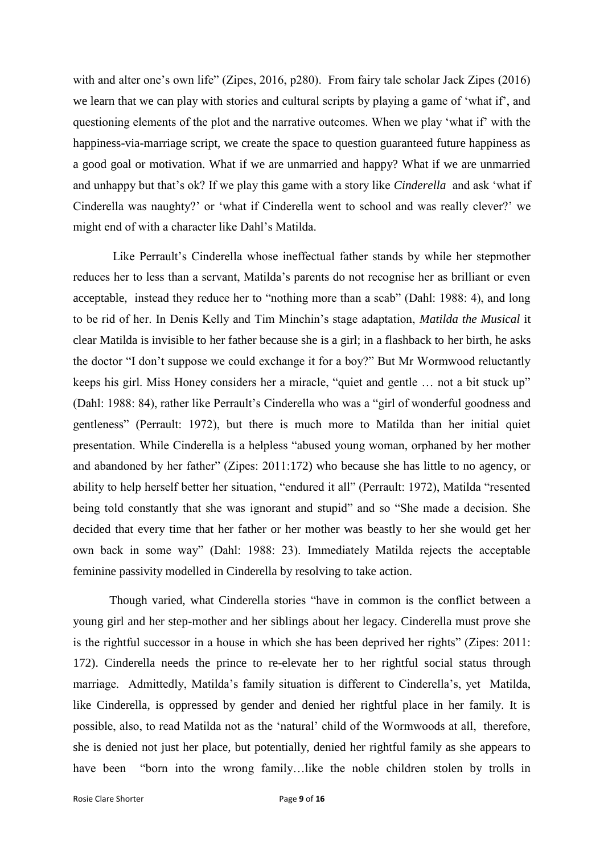with and alter one's own life" (Zipes, 2016, p280). From fairy tale scholar Jack Zipes (2016) we learn that we can play with stories and cultural scripts by playing a game of 'what if', and questioning elements of the plot and the narrative outcomes. When we play 'what if' with the happiness-via-marriage script, we create the space to question guaranteed future happiness as a good goal or motivation. What if we are unmarried and happy? What if we are unmarried and unhappy but that's ok? If we play this game with a story like *Cinderella* and ask 'what if Cinderella was naughty?' or 'what if Cinderella went to school and was really clever?' we might end of with a character like Dahl's Matilda.

Like Perrault's Cinderella whose ineffectual father stands by while her stepmother reduces her to less than a servant, Matilda's parents do not recognise her as brilliant or even acceptable, instead they reduce her to "nothing more than a scab" (Dahl: 1988: 4), and long to be rid of her. In Denis Kelly and Tim Minchin's stage adaptation, *Matilda the Musical* it clear Matilda is invisible to her father because she is a girl; in a flashback to her birth, he asks the doctor "I don't suppose we could exchange it for a boy?" But Mr Wormwood reluctantly keeps his girl. Miss Honey considers her a miracle, "quiet and gentle … not a bit stuck up" (Dahl: 1988: 84), rather like Perrault's Cinderella who was a "girl of wonderful goodness and gentleness" (Perrault: 1972), but there is much more to Matilda than her initial quiet presentation. While Cinderella is a helpless "abused young woman, orphaned by her mother and abandoned by her father" (Zipes: 2011:172) who because she has little to no agency, or ability to help herself better her situation, "endured it all" (Perrault: 1972), Matilda "resented being told constantly that she was ignorant and stupid" and so "She made a decision. She decided that every time that her father or her mother was beastly to her she would get her own back in some way" (Dahl: 1988: 23). Immediately Matilda rejects the acceptable feminine passivity modelled in Cinderella by resolving to take action.

Though varied, what Cinderella stories "have in common is the conflict between a young girl and her step-mother and her siblings about her legacy. Cinderella must prove she is the rightful successor in a house in which she has been deprived her rights" (Zipes: 2011: 172). Cinderella needs the prince to re-elevate her to her rightful social status through marriage. Admittedly, Matilda's family situation is different to Cinderella's, yet Matilda, like Cinderella, is oppressed by gender and denied her rightful place in her family. It is possible, also, to read Matilda not as the 'natural' child of the Wormwoods at all, therefore, she is denied not just her place, but potentially, denied her rightful family as she appears to have been "born into the wrong family...like the noble children stolen by trolls in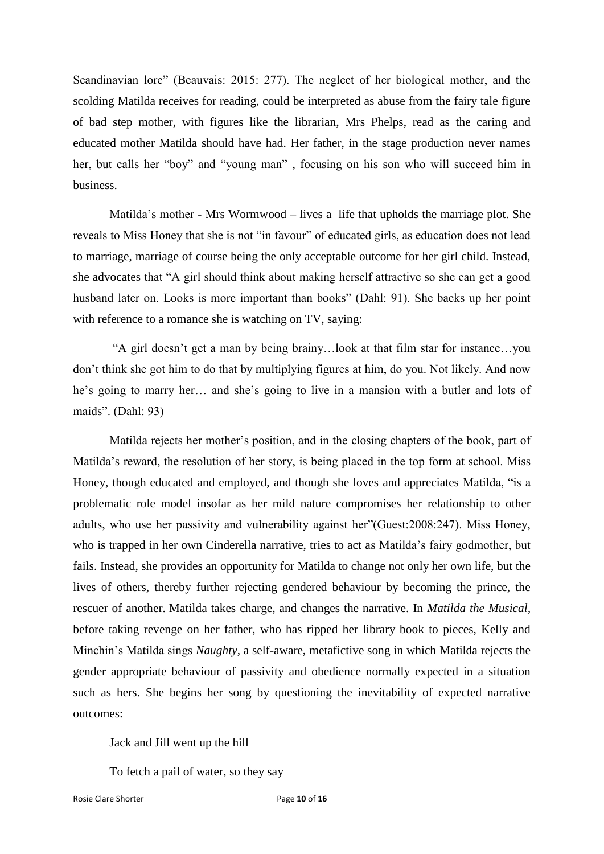Scandinavian lore" (Beauvais: 2015: 277). The neglect of her biological mother, and the scolding Matilda receives for reading, could be interpreted as abuse from the fairy tale figure of bad step mother, with figures like the librarian, Mrs Phelps, read as the caring and educated mother Matilda should have had. Her father, in the stage production never names her, but calls her "boy" and "young man" , focusing on his son who will succeed him in business.

Matilda's mother - Mrs Wormwood – lives a life that upholds the marriage plot. She reveals to Miss Honey that she is not "in favour" of educated girls, as education does not lead to marriage, marriage of course being the only acceptable outcome for her girl child. Instead, she advocates that "A girl should think about making herself attractive so she can get a good husband later on. Looks is more important than books" (Dahl: 91). She backs up her point with reference to a romance she is watching on TV, saying:

"A girl doesn't get a man by being brainy…look at that film star for instance…you don't think she got him to do that by multiplying figures at him, do you. Not likely. And now he's going to marry her… and she's going to live in a mansion with a butler and lots of maids". (Dahl: 93)

Matilda rejects her mother's position, and in the closing chapters of the book, part of Matilda's reward, the resolution of her story, is being placed in the top form at school. Miss Honey, though educated and employed, and though she loves and appreciates Matilda, "is a problematic role model insofar as her mild nature compromises her relationship to other adults, who use her passivity and vulnerability against her"(Guest:2008:247). Miss Honey, who is trapped in her own Cinderella narrative, tries to act as Matilda's fairy godmother, but fails. Instead, she provides an opportunity for Matilda to change not only her own life, but the lives of others, thereby further rejecting gendered behaviour by becoming the prince, the rescuer of another. Matilda takes charge, and changes the narrative. In *Matilda the Musical,* before taking revenge on her father, who has ripped her library book to pieces, Kelly and Minchin's Matilda sings *Naughty*, a self-aware, metafictive song in which Matilda rejects the gender appropriate behaviour of passivity and obedience normally expected in a situation such as hers. She begins her song by questioning the inevitability of expected narrative outcomes:

Jack and Jill went up the hill

To fetch a pail of water, so they say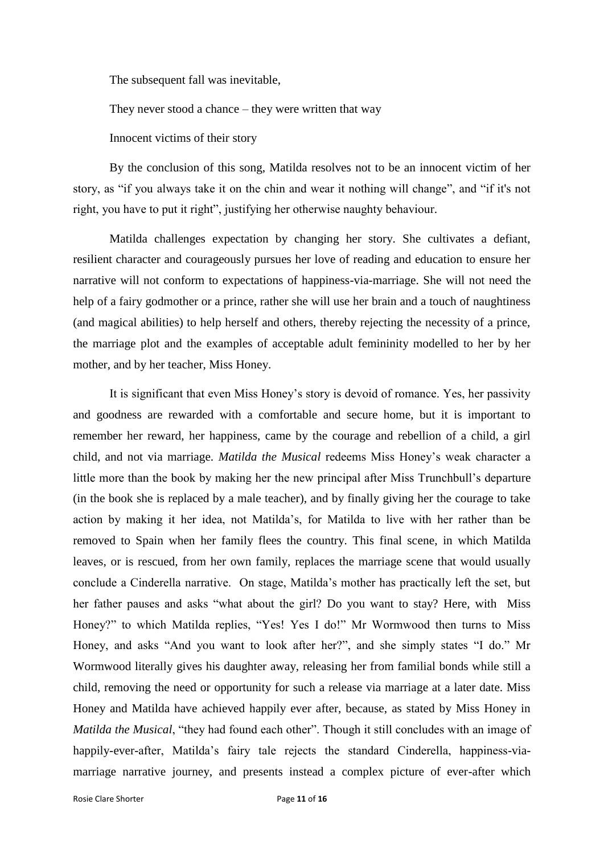The subsequent fall was inevitable,

They never stood a chance – they were written that way

Innocent victims of their story

By the conclusion of this song, Matilda resolves not to be an innocent victim of her story, as "if you always take it on the chin and wear it nothing will change", and "if it's not right, you have to put it right", justifying her otherwise naughty behaviour.

Matilda challenges expectation by changing her story. She cultivates a defiant, resilient character and courageously pursues her love of reading and education to ensure her narrative will not conform to expectations of happiness-via-marriage. She will not need the help of a fairy godmother or a prince, rather she will use her brain and a touch of naughtiness (and magical abilities) to help herself and others, thereby rejecting the necessity of a prince, the marriage plot and the examples of acceptable adult femininity modelled to her by her mother, and by her teacher, Miss Honey.

It is significant that even Miss Honey's story is devoid of romance. Yes, her passivity and goodness are rewarded with a comfortable and secure home, but it is important to remember her reward, her happiness, came by the courage and rebellion of a child, a girl child, and not via marriage. *Matilda the Musical* redeems Miss Honey's weak character a little more than the book by making her the new principal after Miss Trunchbull's departure (in the book she is replaced by a male teacher), and by finally giving her the courage to take action by making it her idea, not Matilda's, for Matilda to live with her rather than be removed to Spain when her family flees the country. This final scene, in which Matilda leaves, or is rescued, from her own family, replaces the marriage scene that would usually conclude a Cinderella narrative. On stage, Matilda's mother has practically left the set, but her father pauses and asks "what about the girl? Do you want to stay? Here, with Miss Honey?" to which Matilda replies, "Yes! Yes I do!" Mr Wormwood then turns to Miss Honey, and asks "And you want to look after her?", and she simply states "I do." Mr Wormwood literally gives his daughter away, releasing her from familial bonds while still a child, removing the need or opportunity for such a release via marriage at a later date. Miss Honey and Matilda have achieved happily ever after, because, as stated by Miss Honey in *Matilda the Musical*, "they had found each other". Though it still concludes with an image of happily-ever-after, Matilda's fairy tale rejects the standard Cinderella, happiness-viamarriage narrative journey, and presents instead a complex picture of ever-after which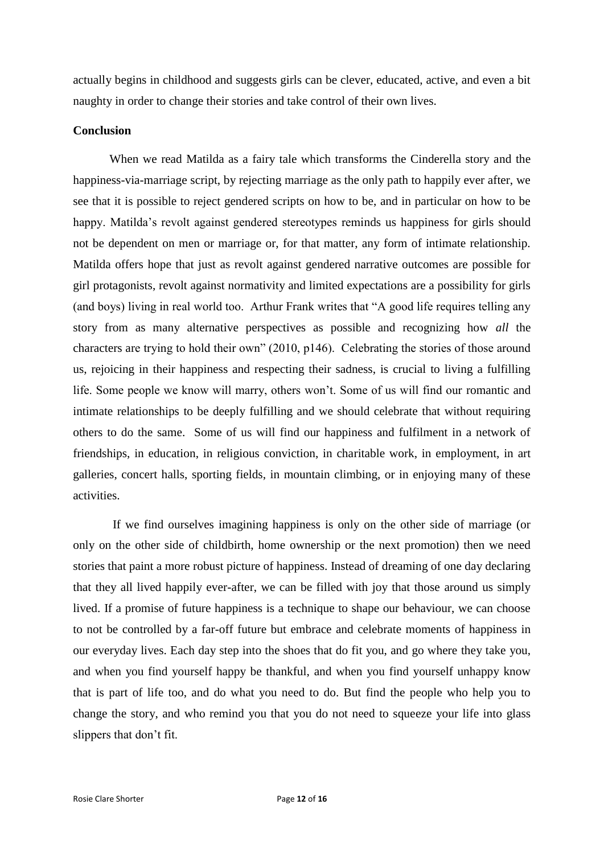actually begins in childhood and suggests girls can be clever, educated, active, and even a bit naughty in order to change their stories and take control of their own lives.

## **Conclusion**

When we read Matilda as a fairy tale which transforms the Cinderella story and the happiness-via-marriage script, by rejecting marriage as the only path to happily ever after, we see that it is possible to reject gendered scripts on how to be, and in particular on how to be happy. Matilda's revolt against gendered stereotypes reminds us happiness for girls should not be dependent on men or marriage or, for that matter, any form of intimate relationship. Matilda offers hope that just as revolt against gendered narrative outcomes are possible for girl protagonists, revolt against normativity and limited expectations are a possibility for girls (and boys) living in real world too. Arthur Frank writes that "A good life requires telling any story from as many alternative perspectives as possible and recognizing how *all* the characters are trying to hold their own" (2010, p146). Celebrating the stories of those around us, rejoicing in their happiness and respecting their sadness, is crucial to living a fulfilling life. Some people we know will marry, others won't. Some of us will find our romantic and intimate relationships to be deeply fulfilling and we should celebrate that without requiring others to do the same. Some of us will find our happiness and fulfilment in a network of friendships, in education, in religious conviction, in charitable work, in employment, in art galleries, concert halls, sporting fields, in mountain climbing, or in enjoying many of these activities.

If we find ourselves imagining happiness is only on the other side of marriage (or only on the other side of childbirth, home ownership or the next promotion) then we need stories that paint a more robust picture of happiness. Instead of dreaming of one day declaring that they all lived happily ever-after, we can be filled with joy that those around us simply lived. If a promise of future happiness is a technique to shape our behaviour, we can choose to not be controlled by a far-off future but embrace and celebrate moments of happiness in our everyday lives. Each day step into the shoes that do fit you, and go where they take you, and when you find yourself happy be thankful, and when you find yourself unhappy know that is part of life too, and do what you need to do. But find the people who help you to change the story, and who remind you that you do not need to squeeze your life into glass slippers that don't fit.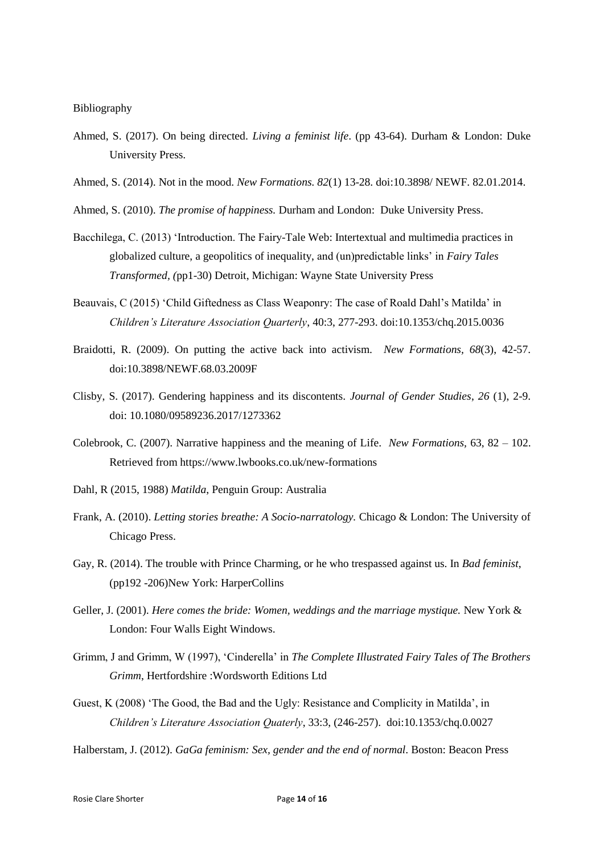#### Bibliography

- Ahmed, S. (2017). On being directed. *Living a feminist life*. (pp 43-64). Durham & London: Duke University Press.
- Ahmed, S. (2014). Not in the mood. *New Formations. 82*(1) 13-28. doi:10.3898/ NEWF. 82.01.2014.
- Ahmed, S. (2010). *The promise of happiness.* Durham and London: Duke University Press.
- Bacchilega, C. (2013) 'Introduction. The Fairy-Tale Web: Intertextual and multimedia practices in globalized culture, a geopolitics of inequality, and (un)predictable links' in *Fairy Tales Transformed, (*pp1-30) Detroit, Michigan: Wayne State University Press
- Beauvais, C (2015) 'Child Giftedness as Class Weaponry: The case of Roald Dahl's Matilda' in *Children's Literature Association Quarterly*, 40:3, 277-293. doi:10.1353/chq.2015.0036
- Braidotti, R. (2009). On putting the active back into activism. *New Formations, 68*(3), 42-57. doi:10.3898/NEWF.68.03.2009F
- Clisby, S. (2017). Gendering happiness and its discontents. *Journal of Gender Studies*, *26* (1), 2-9. doi: 10.1080/09589236.2017/1273362
- Colebrook, C. (2007). Narrative happiness and the meaning of Life. *New Formations,* 63, 82 102. Retrieved from https://www.lwbooks.co.uk/new-formations
- Dahl, R (2015, 1988) *Matilda*, Penguin Group: Australia
- Frank, A. (2010). *Letting stories breathe: A Socio-narratology.* Chicago & London: The University of Chicago Press.
- Gay, R. (2014). The trouble with Prince Charming, or he who trespassed against us. In *Bad feminist*, (pp192 -206)New York: HarperCollins
- Geller, J. (2001). *Here comes the bride: Women, weddings and the marriage mystique.* New York & London: Four Walls Eight Windows.
- Grimm, J and Grimm, W (1997), 'Cinderella' in *The Complete Illustrated Fairy Tales of The Brothers Grimm*, Hertfordshire :Wordsworth Editions Ltd
- Guest, K (2008) 'The Good, the Bad and the Ugly: Resistance and Complicity in Matilda', in *Children's Literature Association Quaterly*, 33:3, (246-257). doi:10.1353/chq.0.0027
- Halberstam, J. (2012). *GaGa feminism: Sex, gender and the end of normal*. Boston: Beacon Press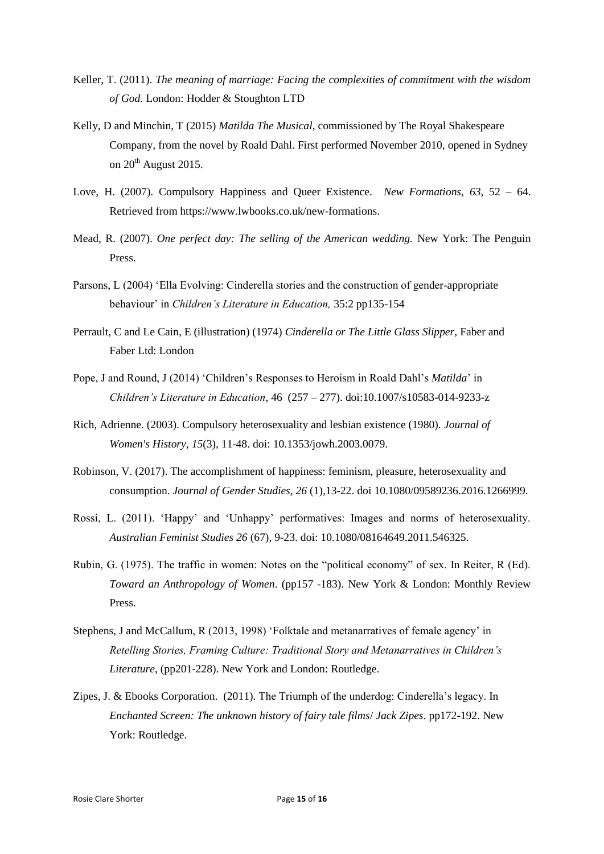- Keller, T. (2011). *The meaning of marriage: Facing the complexities of commitment with the wisdom of God.* London: Hodder & Stoughton LTD
- Kelly, D and Minchin, T (2015) *Matilda The Musical*, commissioned by The Royal Shakespeare Company, from the novel by Roald Dahl. First performed November 2010, opened in Sydney on  $20<sup>th</sup>$  August 2015.
- Love, H. (2007). Compulsory Happiness and Queer Existence. *New Formations, 63*, 52 64. Retrieved from https://www.lwbooks.co.uk/new-formations.
- Mead, R. (2007). *One perfect day: The selling of the American wedding.* New York: The Penguin Press.
- Parsons, L (2004) 'Ella Evolving: Cinderella stories and the construction of gender-appropriate behaviour' in *Children's Literature in Education,* 35:2 pp135-154
- Perrault, C and Le Cain, E (illustration) (1974) *Cinderella or The Little Glass Slipper*, Faber and Faber Ltd: London
- Pope, J and Round, J (2014) 'Children's Responses to Heroism in Roald Dahl's *Matilda*' in *Children's Literature in Education*, 46 (257 – 277). doi:10.1007/s10583-014-9233-z
- Rich, Adrienne. (2003). Compulsory heterosexuality and lesbian existence (1980). *Journal of Women's History, 15*(3), 11-48. doi: 10.1353/jowh.2003.0079.
- Robinson, V. (2017). The accomplishment of happiness: feminism, pleasure, heterosexuality and consumption. *Journal of Gender Studies, 26* (1),13-22. doi 10.1080/09589236.2016.1266999.
- Rossi, L. (2011). 'Happy' and 'Unhappy' performatives: Images and norms of heterosexuality. *Australian Feminist Studies 26* (67), 9-23. doi: 10.1080/08164649.2011.546325.
- Rubin, G. (1975). The traffic in women: Notes on the "political economy" of sex. In Reiter, R (Ed). *Toward an Anthropology of Women*. (pp157 -183). New York & London: Monthly Review Press.
- Stephens, J and McCallum, R (2013, 1998) 'Folktale and metanarratives of female agency' in *Retelling Stories, Framing Culture: Traditional Story and Metanarratives in Children's Literature*, (pp201-228). New York and London: Routledge.
- Zipes, J. & Ebooks Corporation. (2011). The Triumph of the underdog: Cinderella's legacy. In *Enchanted Screen: The unknown history of fairy tale films*/ *Jack Zipes*. pp172-192. New York: Routledge.